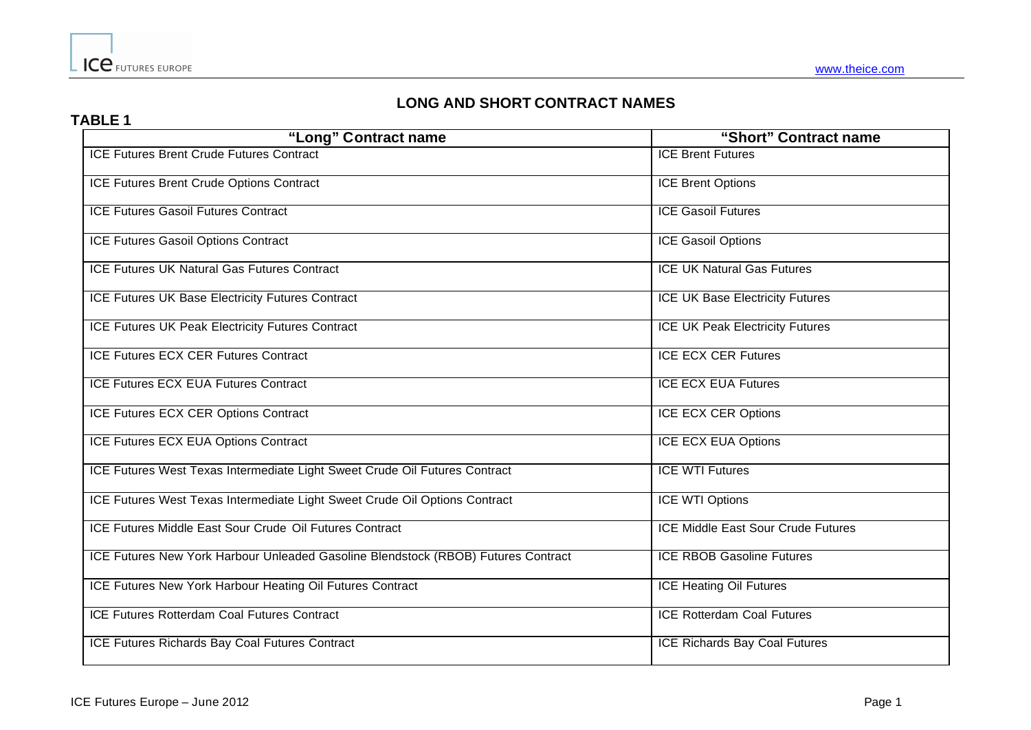## **LONG AND SHORT CONTRACT NAMES**

## **TABLE 1**

| "Long" Contract name                                                              | "Short" Contract name                  |
|-----------------------------------------------------------------------------------|----------------------------------------|
| <b>ICE Futures Brent Crude Futures Contract</b>                                   | <b>ICE Brent Futures</b>               |
| ICE Futures Brent Crude Options Contract                                          | <b>ICE Brent Options</b>               |
| <b>ICE Futures Gasoil Futures Contract</b>                                        | <b>ICE Gasoil Futures</b>              |
| ICE Futures Gasoil Options Contract                                               | ICE Gasoil Options                     |
| ICE Futures UK Natural Gas Futures Contract                                       | <b>ICE UK Natural Gas Futures</b>      |
| <b>ICE Futures UK Base Electricity Futures Contract</b>                           | <b>ICE UK Base Electricity Futures</b> |
| ICE Futures UK Peak Electricity Futures Contract                                  | <b>ICE UK Peak Electricity Futures</b> |
| <b>ICE Futures ECX CER Futures Contract</b>                                       | <b>ICE ECX CER Futures</b>             |
| <b>ICE Futures ECX EUA Futures Contract</b>                                       | <b>ICE ECX EUA Futures</b>             |
| ICE Futures ECX CER Options Contract                                              | ICE ECX CER Options                    |
| ICE Futures ECX EUA Options Contract                                              | <b>ICE ECX EUA Options</b>             |
| ICE Futures West Texas Intermediate Light Sweet Crude Oil Futures Contract        | <b>ICE WTI Futures</b>                 |
| ICE Futures West Texas Intermediate Light Sweet Crude Oil Options Contract        | ICE WTI Options                        |
| ICE Futures Middle East Sour Crude Oil Futures Contract                           | ICE Middle East Sour Crude Futures     |
| ICE Futures New York Harbour Unleaded Gasoline Blendstock (RBOB) Futures Contract | <b>ICE RBOB Gasoline Futures</b>       |
| ICE Futures New York Harbour Heating Oil Futures Contract                         | <b>ICE Heating Oil Futures</b>         |
| ICE Futures Rotterdam Coal Futures Contract                                       | <b>ICE Rotterdam Coal Futures</b>      |
| ICE Futures Richards Bay Coal Futures Contract                                    | <b>ICE Richards Bay Coal Futures</b>   |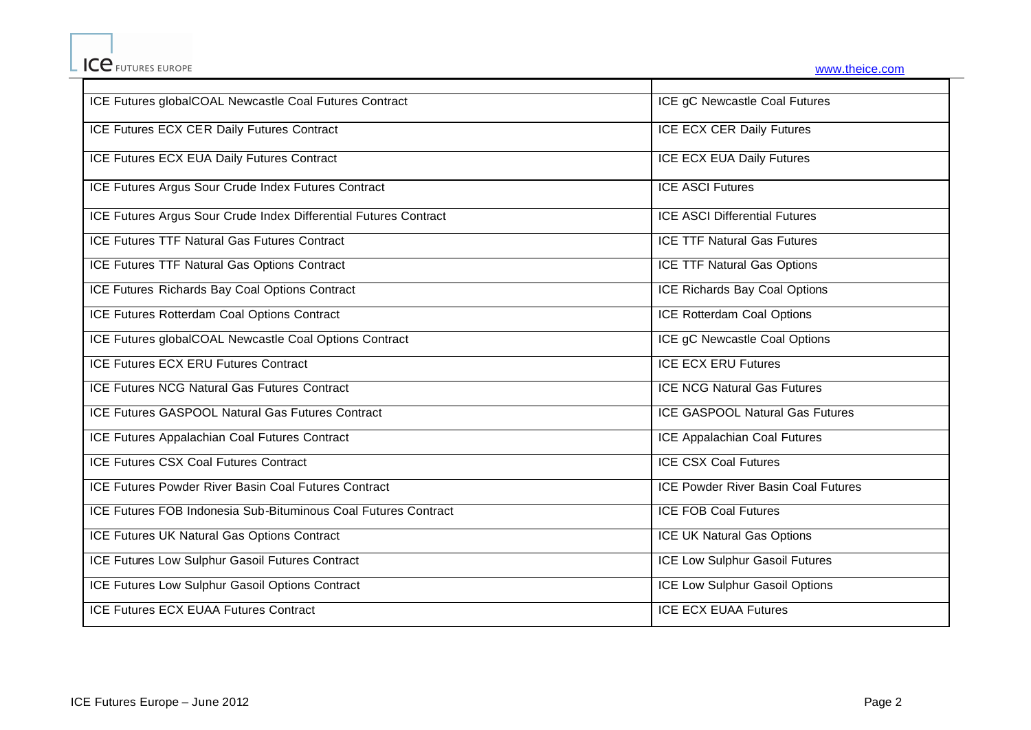| ICE Futures globalCOAL Newcastle Coal Futures Contract           | ICE gC Newcastle Coal Futures              |
|------------------------------------------------------------------|--------------------------------------------|
| ICE Futures ECX CER Daily Futures Contract                       | <b>ICE ECX CER Daily Futures</b>           |
| ICE Futures ECX EUA Daily Futures Contract                       | <b>ICE ECX EUA Daily Futures</b>           |
| ICE Futures Argus Sour Crude Index Futures Contract              | <b>ICE ASCI Futures</b>                    |
| ICE Futures Argus Sour Crude Index Differential Futures Contract | <b>ICE ASCI Differential Futures</b>       |
| <b>ICE Futures TTF Natural Gas Futures Contract</b>              | <b>ICE TTF Natural Gas Futures</b>         |
| ICE Futures TTF Natural Gas Options Contract                     | <b>ICE TTF Natural Gas Options</b>         |
| ICE Futures Richards Bay Coal Options Contract                   | <b>ICE Richards Bay Coal Options</b>       |
| ICE Futures Rotterdam Coal Options Contract                      | <b>ICE Rotterdam Coal Options</b>          |
| ICE Futures globalCOAL Newcastle Coal Options Contract           | ICE gC Newcastle Coal Options              |
| <b>ICE Futures ECX ERU Futures Contract</b>                      | <b>ICE ECX ERU Futures</b>                 |
| <b>ICE Futures NCG Natural Gas Futures Contract</b>              | <b>ICE NCG Natural Gas Futures</b>         |
| <b>ICE Futures GASPOOL Natural Gas Futures Contract</b>          | <b>ICE GASPOOL Natural Gas Futures</b>     |
| ICE Futures Appalachian Coal Futures Contract                    | ICE Appalachian Coal Futures               |
| <b>ICE Futures CSX Coal Futures Contract</b>                     | <b>ICE CSX Coal Futures</b>                |
| ICE Futures Powder River Basin Coal Futures Contract             | <b>ICE Powder River Basin Coal Futures</b> |
| ICE Futures FOB Indonesia Sub-Bituminous Coal Futures Contract   | <b>ICE FOB Coal Futures</b>                |
| ICE Futures UK Natural Gas Options Contract                      | <b>ICE UK Natural Gas Options</b>          |
| ICE Futures Low Sulphur Gasoil Futures Contract                  | ICE Low Sulphur Gasoil Futures             |
| ICE Futures Low Sulphur Gasoil Options Contract                  | ICE Low Sulphur Gasoil Options             |
| <b>ICE Futures ECX EUAA Futures Contract</b>                     | <b>ICE ECX EUAA Futures</b>                |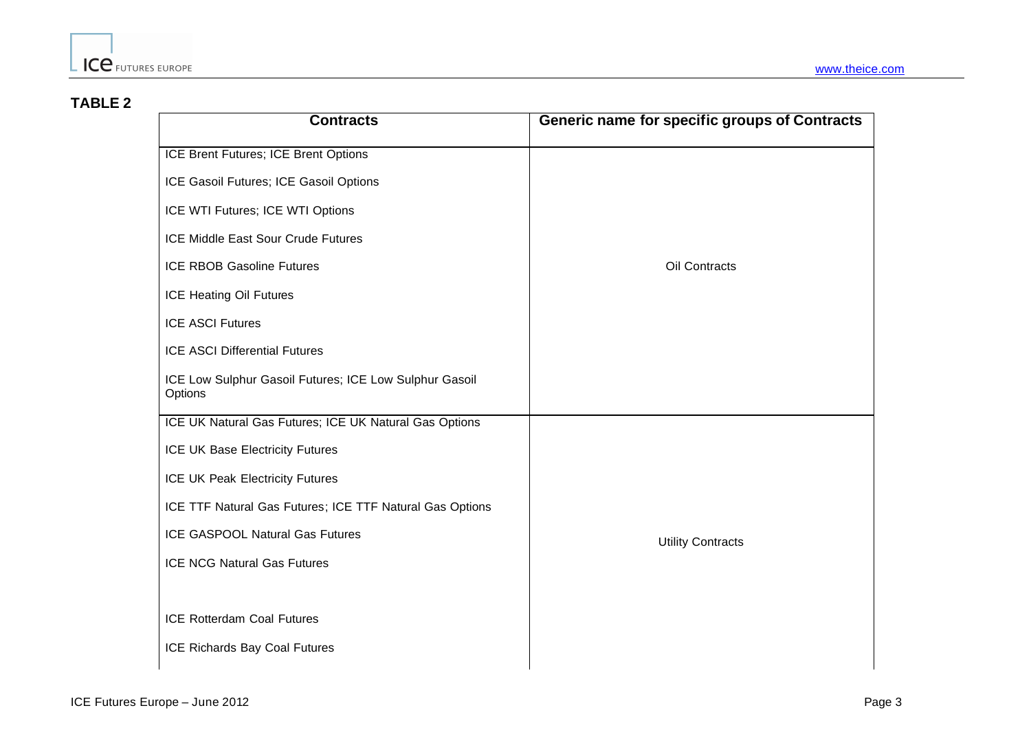## **TABLE 2**

| <b>Contracts</b>                                                  | Generic name for specific groups of Contracts |
|-------------------------------------------------------------------|-----------------------------------------------|
| ICE Brent Futures; ICE Brent Options                              |                                               |
| ICE Gasoil Futures; ICE Gasoil Options                            |                                               |
| ICE WTI Futures; ICE WTI Options                                  |                                               |
| <b>ICE Middle East Sour Crude Futures</b>                         |                                               |
| <b>ICE RBOB Gasoline Futures</b>                                  | Oil Contracts                                 |
| ICE Heating Oil Futures                                           |                                               |
| <b>ICE ASCI Futures</b>                                           |                                               |
| <b>ICE ASCI Differential Futures</b>                              |                                               |
| ICE Low Sulphur Gasoil Futures; ICE Low Sulphur Gasoil<br>Options |                                               |
| ICE UK Natural Gas Futures; ICE UK Natural Gas Options            |                                               |
| ICE UK Base Electricity Futures                                   |                                               |
| <b>ICE UK Peak Electricity Futures</b>                            |                                               |
| ICE TTF Natural Gas Futures; ICE TTF Natural Gas Options          |                                               |
| <b>ICE GASPOOL Natural Gas Futures</b>                            | <b>Utility Contracts</b>                      |
| <b>ICE NCG Natural Gas Futures</b>                                |                                               |
|                                                                   |                                               |
| <b>ICE Rotterdam Coal Futures</b>                                 |                                               |
| ICE Richards Bay Coal Futures                                     |                                               |
|                                                                   |                                               |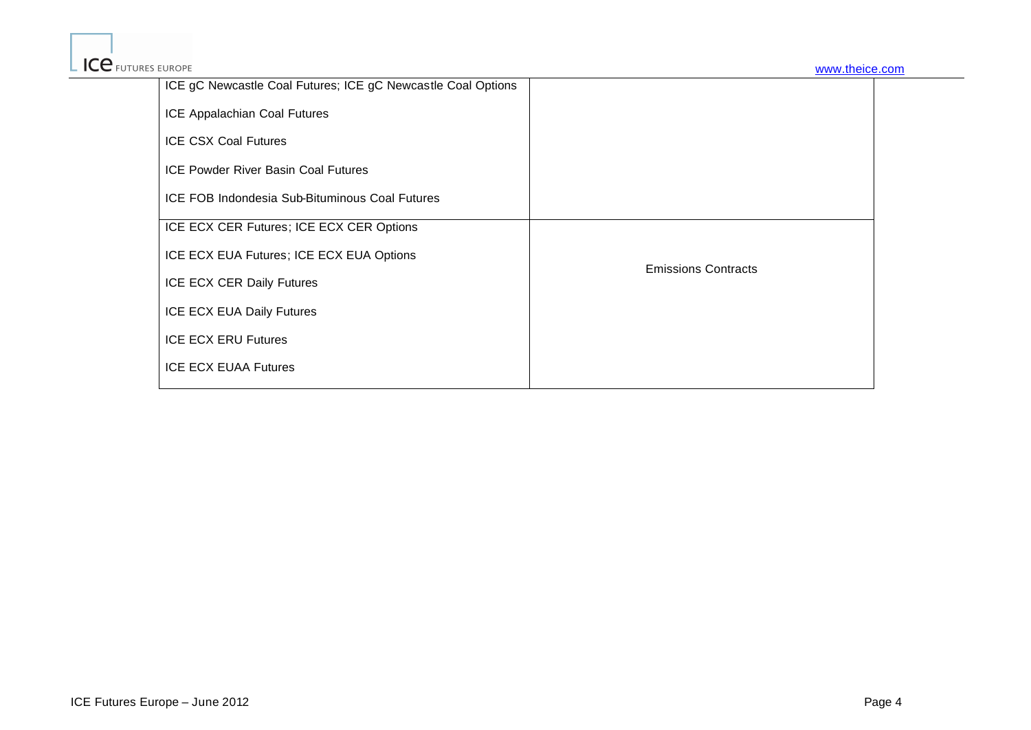| ICE gC Newcastle Coal Futures; ICE gC Newcastle Coal Options |                            |
|--------------------------------------------------------------|----------------------------|
| ICE Appalachian Coal Futures                                 |                            |
| <b>ICE CSX Coal Futures</b>                                  |                            |
| <b>ICE Powder River Basin Coal Futures</b>                   |                            |
| ICE FOB Indondesia Sub-Bituminous Coal Futures               |                            |
| ICE ECX CER Futures; ICE ECX CER Options                     |                            |
| ICE ECX EUA Futures; ICE ECX EUA Options                     | <b>Emissions Contracts</b> |
| ICE ECX CER Daily Futures                                    |                            |
| ICE ECX EUA Daily Futures                                    |                            |
| <b>ICE ECX ERU Futures</b>                                   |                            |
| <b>ICE ECX EUAA Futures</b>                                  |                            |
|                                                              |                            |